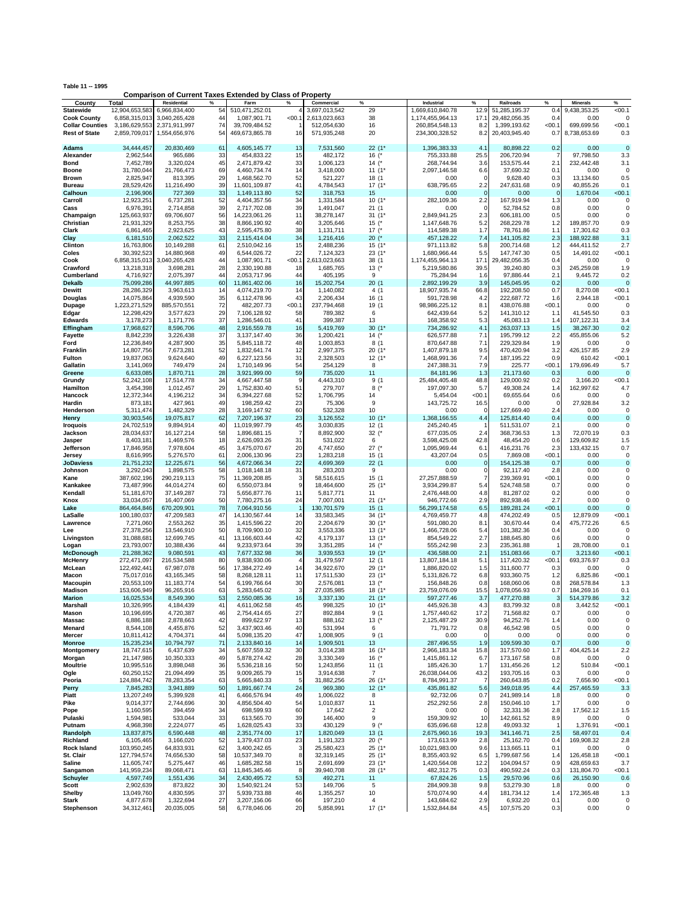**Table 11 -- 1995 Comparison of Current Taxes Extended by Class of Property**

| County                 | Total                    | <b>Residential</b>      | %        | Farm                          | $\%$           | Commercial             | $\%$                    | Industrial                  | %               | <b>Railroads</b>         | $\%$       | <b>Minerals</b>         | %                |
|------------------------|--------------------------|-------------------------|----------|-------------------------------|----------------|------------------------|-------------------------|-----------------------------|-----------------|--------------------------|------------|-------------------------|------------------|
| <b>Statewide</b>       | 12,904,653,583           | 6,966,834,400           | 54       | 510,471,252.01                |                | 3,697,013,542          | 29                      | 1,669,610,840.78            | 12.9            | 51,285,195.37            | 0.4        | 9,438,353.25            | < 00.1           |
| <b>Cook County</b>     | 6,858,315,013            | 3,040,265,428           | 44       | 1.087.901.71                  | < 00.1         | 2,613,023,663          | 38                      | 1,174,455,964.13            | 17.1            | 29,482,056.35            | 0.4        | 0.00                    | $\Omega$         |
| <b>Collar Counties</b> | 3,186,629,553            | 2,371,911,997           | 74       | 39,709,484.52                 |                | 512,054,630            | 16                      | 260,854,548.13              | 8.2             | 1,399,193.62             | < 00.1     | 699,699.56              | < 00.1           |
| <b>Rest of State</b>   | 2,859,709,017            | 1,554,656,976           | 54       | 469,673,865.78                | 16             | 571,935,248            | 20                      | 234,300,328.52              | 8.2             | 20,403,945.40            | 0.7        | 8,738,653.69            | 0.3              |
|                        |                          |                         |          |                               |                |                        |                         |                             |                 |                          |            |                         |                  |
| <b>Adams</b>           | 34,444,457               | 20,830,469              | 61       | 4,605,145.77                  | 13             | 7,531,560              | $22(1*$                 | 1,396,383.33                | 4.1             | 80,898.22                | 0.2        | 0.00                    | $\mathbf 0$      |
| Alexander              | 2,962,544                | 965,686                 | 33       | 454,833.22                    | 15             | 482,172                | 16 $($ *                | 755,333.88                  | 25.5            | 206,720.94               | 7          | 97,798.50               | 3.3              |
| Bond                   | 7,452,789                | 3,320,024               | 45       | 2,471,879.42                  | 33             | 1,006,123              | 14 $($ *                | 268,744.94                  | 3.6             | 153,575.44               | 2.1        | 232,442.48              | 3.1              |
| Boone                  | 31,780,044               | 21,766,473              | 69       | 4,460,734.74                  | 14             | 3,418,000              | 11(1)                   | 2,097,146.58                | 6.6             | 37,690.32                | 0.1        | 0.00                    | 0                |
| Brown                  | 2,825,947                | 813,395                 | 29       | 1,468,562.70                  | 52             | 521,227                | 18 (1                   | 0.00                        | -0              | 9,628.40                 | 0.3        | 13,134.60               | 0.5              |
| Bureau                 | 28,529,426               | 11,216,490              | 39       | 11,601,109.87                 | 41             | 4,784,543              | $17(1*$                 | 638,795.65                  | 2.2             | 247,631.68               | 0.9        | 40,855.26               | 0.1              |
| Calhoun                | 2,196,906                | 727,369                 | 33       | 1,149,113.80                  | 52             | 318,753                | 15                      | 0.00                        | $\Omega$        | 0.00                     | 0          | 1,670.04                | < 00.1           |
|                        |                          |                         | 52       |                               | 34             |                        |                         | 282,109.36                  | 2.2             |                          |            | 0.00                    | $\Omega$         |
| Carroll<br>Cass        | 12,923,251               | 6,737,281               | 39       | 4,404,357.56                  | 39             | 1,331,584              | $10(1*$<br>21(1)        | 0.00                        | 0               | 167,919.94               | 1.3<br>0.8 | 0.00                    | 0                |
|                        | 6,976,391                | 2,714,858               | 56       | 2,717,702.08<br>14,223,061.26 | 11             | 1,491,047              | 31(1)                   |                             | 2.3             | 52,784.52<br>606,181.00  | 0.5        | 0.00                    | $^{\circ}$       |
| Champaign              | 125,663,937              | 69,706,607              | 38       |                               | 40             | 38,278,147             |                         | 2,849,941.25                |                 |                          |            |                         |                  |
| Christian              | 21,931,329               | 8,253,755               |          | 8,866,190.92                  |                | 3,205,646              | 15 $(*$                 | 1,147,648.76                | 5.2             | 268,229.78               | 1.2        | 189,857.70              | 0.9              |
| Clark                  | 6,861,465                | 2,923,625               | 43       | 2,595,475.80<br>2,115,414.04  | 38             | 1,131,711              | 17 $($ *                | 114,589.38                  | 1.7             | 78,761.86                | 1.1        | 17,301.62               | 0.3              |
| Clay                   | 6,181,510                | 2,062,522               | 33       |                               | 34             | 1,216,416              | $20$ (*                 | 457,128.22                  | 7.4             | 141,105.82               | 2.3        | 188,922.88              | 3.1<br>2.7       |
| Clinton<br>Coles       | 16,763,806               | 10,149,288              | 61       | 2,510,042.16                  | 15<br>22       | 2,488,236              | 15(1)                   | 971,113.82                  | 5.8             | 200,714.68               | 1.2        | 444,411.52              |                  |
|                        | 30,392,523               | 14,880,968              | 49       | 6,544,026.72                  |                | 7,124,323              | $23(1^*$                | 1,680,966.44                | 5.5             | 147,747.30               | 0.5        | 14,491.02               | < 00.1           |
| Cook                   | 6,858,315,013            | 3,040,265,428           | 44       | 1,087,901.71                  | < 00.1         | 2,613,023,663          | 38 (1                   | 1,174,455,964.13            | 17.1            | 29,482,056.35            | 0.4        | 0.00                    | $\Omega$         |
| Crawford               | 13,218,318               | 3,698,281               | 28       | 2,330,190.88                  | 18             | 1,685,765              | 13 $($ *                | 5,219,580.86                | 39.5            | 39,240.80                | 0.3        | 245,259.08              | 1.9              |
| Cumberland             | 4,716,927                | 2,075,397               | 44       | 2,053,717.96                  | 44             | 405,195                | 9                       | 75,284.94                   | 1.6             | 97,886.44                | 2.1        | 9,445.72                | 0.2              |
| <b>Dekalb</b>          | 75,099,286               | 44,997,885              | 60       | 11,861,402.06                 | 16             | 15,202,754             | 20(1)                   | 2,892,199.29                | 3.9             | 145,045.95               | 0.2        | 0.00                    |                  |
| <b>Dewitt</b>          | 28,286,329               | 3,963,613               | 14       | 4,074,219.70                  | 14             | 1,140,082              | 4(1)                    | 18,907,935.74               | 66.8            | 192,208.50               | 0.7        | 8,270.08                | < 00.1           |
| Douglas                | 14,075,864               | 4,939,590               | 35       | 6,112,478.96                  | 43             | 2,206,434              | 16 (1                   | 591,728.98                  | 4.2             | 222,687.72               | 1.6        | 2,944.18                | < 00.1           |
| Dupage                 | 1,223,271,529            | 885,570,551             | 72       | 482,207.73                    | < 00.1         | 237,794,468            | 19 (1                   | 98,986,225.12               | 8.1             | 438,076.88               | < 00.1     | 0.00                    | $\Omega$         |
| Edgar                  | 12,298,429               | 3,577,623               | 29       | 7,106,128.92                  | 58             | 789,382                | 6                       | 642,439.64                  | 5.2             | 141,310.12               | 1.1        | 41,545.50               | 0.3              |
| <b>Edwards</b>         | 3,178,273                | 1,171,776               | 37       | 1,286,546.01                  | 41             | 399,387                | 13                      | 168,358.92                  | 5.3             | 45,083.13                | 1.4        | 107,122.31              | 3.4              |
| Effingham              | 17.968.627               | 8,596,706               | 48       | 2,916,559.78                  | 16             | 5,419,769              | 30(1)                   | 734,286.92                  | 4.1             | 263,037.13               | 1.5        | 38,267.30               | 0.2              |
| <b>Fayette</b>         | 8,842,239                | 3,226,438               | 37       | 3,137,147.40                  | 36             | 1,200,421              | $14$ (*                 | 626,577.88                  | 7.1             | 195,799.12               | 2.2        | 455,855.06              | 5.2              |
| Ford                   | 12,236,849               | 4,287,900               | 35       | 5,845,118.72                  | 48             | 1,003,853              | 8(1)                    | 870,647.88                  | 7.1             | 229,329.84               | 1.9        | 0.00                    | $\mathbf 0$      |
| Franklin               | 14,807,756               | 7,673,281               | 52       | 1,832,641.74                  | 12             | 2,997,375              | $20(1*$                 | 1,407,879.18                | 9.5             | 470,420.94               | 3.2        | 426,157.85              | 2.9              |
| Fulton                 | 19,837,063               | 9,624,640               | 49       | 6,227,123.56                  | 31             | 2,328,503              | $12(1*$                 | 1,468,991.36                | 7.4             | 187,195.22               | 0.9        | 610.42                  | < 00.1           |
| Gallatin               | 3,141,069                | 749,479                 | 24       | 1,710,149.96                  | 54             | 254,129                | 8                       | 247,388.31                  | 7.9             | 225.77                   | < 00.1     | 179,696.49              | 5.7              |
| Greene                 | 6,633,085                | 1,870,711               | 28       | 3,921,999.00                  | 59             | 735,020                | 11                      | 84,181.96                   | 1.3             | 21,173.60                | 0.3        | 0.00                    | $\Omega$         |
| Grundy                 | 52,242,108               | 17,514,778              | 34       | 4,667,447.58                  | 9              | 4,443,310              | 9(1)                    | 25,484,405.48               | 48.8            | 129,000.92               | 0.2        | 3,166.20                | < 00.1           |
| Hamilton               | 3,454,398                | 1,012,457               | 29       | 1,752,830.40                  | 51             | 279,707                | $8$ (*                  | 197,097.30                  | 5.7             | 49,308.24                | 1.4        | 162,997.62              | 4.7              |
| Hancock                | 12,372,344               | 4,196,212               | 34       | 6,394,227.68                  | 52             | 1,706,795              | 14                      | 5,454.04                    | $<$ 00.1        | 69,655.64                | 0.6        | 0.00                    | $\Omega$         |
| Hardin                 | 873,181                  | 427,961                 | 49       | 198,259.42                    | 23             | 75,306                 | 9                       | 143,725.72                  | 16.5            | 0.00                     | $\Omega$   | 27,928.84               | 3.2              |
| Henderson              | 5,311,474                | 1,482,329               | 28       | 3,169,147.92                  | 60             | 532,328                | 10                      | 0.00                        | -C              | 127,669.40               | 2.4        | 0.00                    | 0                |
| Henry                  | 30,903,546               | 19,075,817              | 62       | 7,207,196.37                  | 23             | 3,126,552              | 10(1)                   | 1,368,166.55                | 4.4             | 125,814.40               | 0.4        | 0.00                    | $\overline{0}$   |
| <b>Iroquois</b>        | 24,702,519               | 9,894,914               | 40       | 11,019,997.79                 | 45             | 3,030,835              | 12(1)                   | 245,240.45                  |                 | 511,531.07               | 2.1        | 0.00                    | $\mathbf 0$      |
| Jackson                | 28,034,637               | 16, 127, 214            | 58       | 1,896,681.15                  | $\overline{7}$ | 8,892,900              | $32$ (*                 | 677,035.05                  | 2.4             | 368,736.53               | 1.3        | 72,070.19               | 0.3              |
| Jasper                 | 8,403,181                | 1,469,576               | 18       | 2,626,093.26                  | 31             | 531,022                | 6                       | 3,598,425.08                | 42.8            | 48,454.20                | 0.6        | 129,609.82              | 1.5              |
| Jefferson              | 17,846,958               | 7,978,604               | 45       | 3,475,070.67                  | 20             | 4,747,650              | $27$ (*                 | 1,095,969.44                | 6.1             | 416,231.76               | 2.3        | 133,432.15              | 0.7              |
| Jersey                 | 8,616,995                | 5,276,570               | 61       | 2,006,130.96                  | 23             | 1,283,218              | 15(1)                   | 43,207.04                   | 0.5             | 7,869.08                 | < 00.1     | 0.00                    | $\mathbf 0$      |
| <b>JoDaviess</b>       | 21,751,232               | 12,225,671              | 56       | 4,672,066.34                  | 22             | 4,699,369              | 22(1)                   | 0.00                        | $\Omega$        | 154,125.38               | 0.7        | 0.00                    | $\overline{0}$   |
| Johnson                | 3,292,043                | 1,898,575               | 58       | 1,018,148.18                  | 31             | 283,203                | 9                       | 0.00                        | $\Omega$        | 92,117.40                | 2.8        | 0.00                    | 0                |
| Kane                   | 387,602,196              | 290,219,113             | 75       | 11,369,208.85                 | 3              | 58,516,615             | 15(1)                   | 27,257,888.59               | 7               | 239,369.91               | < 00.1     | 0.00                    | $\mathbf 0$      |
| Kankakee               | 73,487,996               | 44,014,274              | 60       | 6,550,073.84                  | 9              | 18,464,600             | 25(1)                   | 3,934,299.87                | 5.4             | 524,748.58               | 0.7        | 0.00                    | $\mathbf 0$      |
| Kendall                | 51,181,670               | 37,149,287              | 73       | 5,656,877.76                  | 11             | 5,817,771              | 11                      | 2,476,448.00                | 4.8             | 81,287.02                | 0.2        | 0.00                    | $\mathbf 0$      |
| Knox                   | 33,034,057               | 16,407,069              | 50       | 7,780,275.16                  | 24             | 7,007,001              | $21(1^*$                | 946,772.66                  | 2.9             | 892,938.46               | 2.7        | 0.00                    | $\Omega$         |
| Lake                   | 864,464,846              | 670,209,901             | 78       | 7,064,910.56                  |                | 130,701,579            | 15(1)                   | 56,299,174.58               | 6.5             | 189,281.24               | <00.1      | 0.00                    | $\Omega$         |
| LaSalle                | 100,180,037              | 47,209,583              | 47       | 14,130,567.44                 | 14             | 33,583,345             | $34(1*$                 | 4,769,459.77                | 4.8             | 474,202.49               | 0.5        | 12,879.09               | < 00.1           |
| Lawrence               | 7,271,060                | 2,553,262               | 35       | 1,415,596.22                  | 20             | 2,204,679              | $30(1*$                 | 591,080.20                  | 8.1             | 30,670.44                | 0.4        | 475,772.26              | 6.5              |
| Lee                    | 27,378,256               | 13,546,910              | 50       | 8,709,900.10                  | 32             | 3,553,336              | $13(1*$                 | 1,466,728.06                | 5.4             | 101,382.36               | 0.4        | 0.00                    | 0                |
| Livingston             | 31,088,681               | 12,699,745              | 41       | 13,166,603.44                 | 42             | 4,179,137              | $13(1*$                 | 854,549.22                  | 2.7             | 188,645.80               | 0.6        | 0.00                    | $\mathbf 0$      |
| Logan                  | 23,793,007               | 10,388,436              | 44       | 9,233,973.64                  | 39             | 3,351,285              | 14 $($ *                | 555,242.98                  | 2.3             | 235,361.88               |            | 28,708.00               | 0.1              |
| <b>McDonough</b>       | 21,288,362               | 9,080,591               | 43       | 7,677,332.98                  | 36             | 3,939,553              | 19(1)                   | 436,588.00                  | 2.1             | 151,083.66               | 0.7        | 3,213.60                | < 00.1           |
| <b>McHenry</b>         | 272,471,097              | 216,534,588             | 80       | 9,838,930.06                  | $\overline{4}$ | 31,479,597             | 12(1)                   | 13,807,184.18               | 5.1             | 117,420.32               | <00.1      | 693,376.97              | 0.3              |
| McLean                 | 122,492,441              | 67,987,078              | 56       | 17,384,272.49                 | 14             | 34,922,670             | $29(1*$                 | 1,886,820.02                | 1.5             | 311,600.77               | 0.3        | 0.00                    | $\Omega$         |
| Macon                  | 75,017,016               | 43, 165, 345            | 58       | 8,268,128.11                  | 11             | 17,511,530             | $23(1*$                 | 5,131,826.72                | 6.8             | 933,360.75               | 1.2        | 6,825.86                | <00.1            |
| Macoupin               | 20,553,109               | 11,183,774              | 54       | 6,199,766.64                  | 30             | 2,576,081              | 13 $(^{*}$              | 156,848.26                  | 0.8             | 168,060.06               | 0.8        | 268,578.84              | 1.3              |
| <b>Madison</b>         | 153,606,949              | 96,265,916              | 63       | 5,283,645.02                  | 3              | 27,035,985             | $18(1*$                 | 23,759,076.09               | 15.5            | 1,078,056.93             | 0.7        | 184,269.16              | 0.1              |
| <b>Marion</b>          | 16,025,534               | 8,549,390               | 53       | 2,550,085.36                  | 16             | 3,337,130              | $21(1*$                 | 597,277.46                  | 3.7             | 477,270.88               | 3          | 514,379.86              | 3.2              |
| Marshall               | 10,326,995               | 4,184,439               | 41       | 4.611.062.58                  | 45             | 998.325                | $10(1*$                 | 445.926.38                  | 4.3             | 83.799.32                | 0.8        | 3.442.52                | < 00.1           |
| Mason                  | 10,196,695               | 4,720,387               | 46       | 2,754,414.65                  | 27             | 892,884                | 9(1)                    | 1,757,440.62                | 17.2            | 71,568.82                | 0.7        | 0.00                    | 0<br>$\mathbf 0$ |
| Massac                 | 6,886,188                | 2,878,663               | 42       | 899,622.97                    | 13             | 888,162                | 13 $(^{*}$              | 2,125,487.29                | 30.9            | 94,252.76                | 1.4        | 0.00                    | $\mathbf 0$      |
| Menard                 | 8,544,108                | 4,455,876               | 52<br>44 | 3,437,903.46                  | 40<br>47       | 531,994<br>1,008,905   | 6<br>9(1)               | 71,791.72<br>0.00           | 0.8<br>$\Omega$ | 46,542.98                | 0.5<br>0   | 0.00<br>0.00            | $\pmb{0}$        |
| Mercer                 | 10,811,412               | 4,704,371               | 71       | 5,098,135.20                  |                |                        |                         |                             |                 | 0.00                     |            |                         |                  |
| <b>Monroe</b>          | 15,235,234               | 10,794,797              |          | 2,133,840.16                  | 14<br>30       | 1,909,501<br>3,014,238 | 13<br>$16(1*$           | 287,496.55                  | 1.9             | 109,599.30               | 0.7        | 0.00                    | $\pmb{0}$        |
| Montgomery             | 18,747,615<br>21,147,986 | 6,437,639               | 34<br>49 | 5,607,559.32                  | 28             |                        | 16 $(^{*}$              | 2,966,183.34                | 15.8            | 317,570.60<br>173,167.58 | 1.7        | 404,425.14              | 2.2<br>0         |
| Morgan                 |                          | 10,350,333              | 36       | 5,878,274.42                  |                | 3,330,349              |                         | 1,415,861.12                | 6.7             |                          | 0.8        | 0.00                    |                  |
| <b>Moultrie</b>        | 10,995,516<br>60,250,152 | 3,898,048<br>21,094,499 | 35       | 5,536,218.16<br>9,009,265.79  | 50<br>15       | 1,243,856              | 11(1)<br>$\overline{7}$ | 185,426.30<br>26,038,044.06 | 1.7<br>43.2     | 131,456.26<br>193,705.16 | 1.2<br>0.3 | 510.84<br>0.00          | < 00.1<br>0      |
| Ogle                   |                          | 78,283,354              | 63       | 5,665,840.33                  | 5              | 3,914,638              |                         |                             | $\overline{7}$  |                          |            |                         |                  |
| Peoria                 | 124,884,742<br>7,845,283 |                         |          |                               |                | 31,882,256             | $26(1*$                 | 8,784,991.37                |                 | 260,643.85               | 0.2        | 7,656.90                | < 00.1           |
| Perry                  | 13,207,249               | 3,941,889<br>5,399,928  | 50<br>41 | 1,891,667.74<br>6,466,576.94  | 24<br>49       | 969,380                | $12(1*$                 | 435,861.82                  | 5.6             | 349,018.95<br>241,989.14 | 4.4        | 257,465.59              | 3.3<br>$\Omega$  |
| Piatt<br>Pike          |                          |                         |          |                               | 54             | 1,006,022              | 8                       | 92,732.06<br>252,292.56     | 0.7             |                          | 1.8        | 0.00                    | $\mathbf 0$      |
|                        | 9,014,377                | 2,744,696<br>394,459    | 30<br>34 | 4,856,504.40<br>698,599.93    | 60             | 1,010,837<br>17,642    | 11<br>$\boldsymbol{2}$  | 0.00                        | 2.8<br>$\Omega$ | 150,046.10               | 1.7        | 0.00<br>17,562.12       |                  |
| Pope                   | 1,160,595                |                         | 33       | 613,565.70                    | 39             |                        | 9                       | 159,309.92                  | 10              | 32,331.36<br>142,661.52  | 2.8        |                         | 1.5              |
| Pulaski                | 1,594,981<br>4,968,398   | 533,044                 |          | 1,628,025.43                  |                | 146,400                |                         |                             |                 |                          | 8.9        | 0.00<br>1,376.91        | 0                |
| Putnam                 |                          | 2,224,077<br>6,590,448  | 45       |                               | 33<br>17       | 430,129                | $9(^*$                  | 635,696.68                  | 12.8            | 49,093.32                | -1         |                         | <00.1            |
| Randolph<br>Richland   | 13,837,875               |                         | 48<br>52 | 2,351,774.00                  | 23             | 1,820,049<br>1,191,323 | 13(1)<br>20 $(^{*}$     | 2,675,960.16<br>173,613.99  | 19.3<br>2.8     | 341,146.71<br>25,162.70  | 2.5<br>0.4 | 58,497.01<br>169,908.32 | 0.4              |
| Rock Island            | 6,105,465<br>103,950,245 | 3,166,020<br>64,833,931 | 62       | 1,379,437.03<br>3,400,242.65  | 3              | 25,580,423             | $25(1*$                 | 10,021,983.00               | 9.6             | 113,665.11               | 0.1        | 0.00                    | 2.8<br>0         |
| St. Clair              | 127,794,574              | 74,656,530              | 58       | 10,537,349.70                 | 8              | 32,319,145             | $25(1*$                 | 8,355,403.92                | 6.5             | 1,799,687.56             | 1.4        | 126,458.18              | < 00.1           |
| Saline                 | 11,605,747               | 5,275,447               | 46       | 1,685,282.58                  | 15             | 2,691,699              | $23(1*$                 | 1,420,564.08                | 12.2            | 104,094.57               | 0.9        | 428,659.63              | 3.7              |
| Sangamon               | 141,959,234              | 89,068,471              | 63       | 11,845,345.46                 | 8              | 39,940,708             | 28 (1*                  | 482,312.75                  | 0.3             | 490,592.24               | 0.3        | 131,804.70              | < 00.1           |
| <b>Schuyler</b>        | 4,597,749                | 1,551,436               | 34       | 2,430,495.72                  | 53             | 492,271                | 11                      | 67,824.26                   | 1.5             | 29,570.96                | 0.6        | 26,150.90               | 0.6              |
| Scott                  | 2,902,639                | 873,822                 | 30       | 1,540,921.24                  | 53             | 149,706                | 5                       | 284,909.38                  | 9.8             | 53,279.30                | 1.8        | 0.00                    | 0                |
| Shelby                 | 13,049,760               | 4,830,595               | 37       | 5,939,733.88                  | 46             | 1,355,257              | 10                      | 570,074.90                  | 4.4             | 181,734.12               | 1.4        | 172,365.48              | 1.3              |
| Stark                  | 4,877,678                | 1,322,694               | 27       | 3,207,156.06                  | 66             | 197,210                | 4                       | 143,684.62                  | 2.9             | 6,932.20                 | 0.1        | 0.00                    | 0                |
| Stephenson             | 34,312,461               | 20,035,005              | 58       | 6,778,046.06                  | 20             | 5,858,991              | 17 $(1^*$               | 1,532,844.84                | 4.5             | 107,575.20               | 0.3        | 0.00                    | 0                |
|                        |                          |                         |          |                               |                |                        |                         |                             |                 |                          |            |                         |                  |